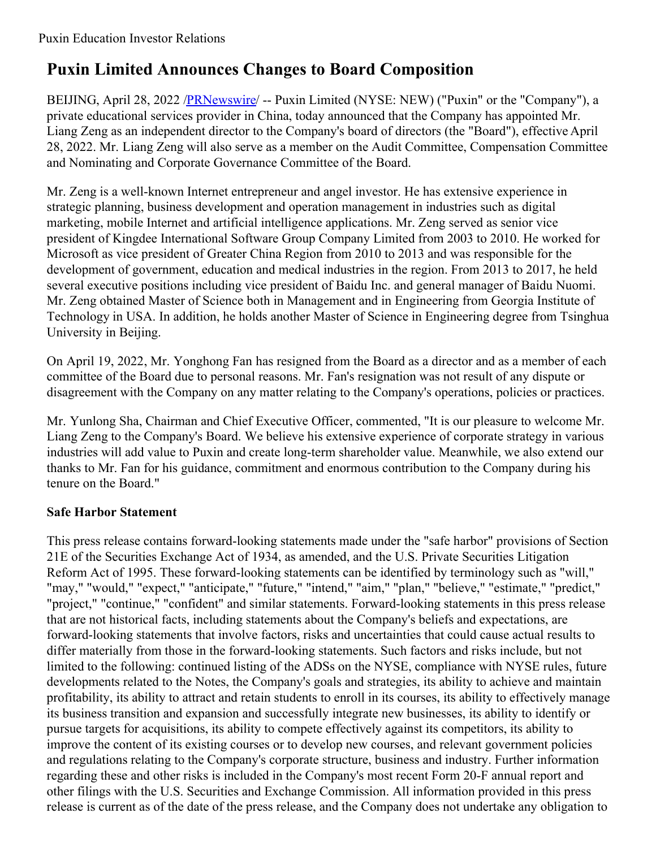## **Puxin Limited Announces Changes to Board Composition**

BEIJING, April 28, 2022 /**PRNewswire/** -- Puxin Limited (NYSE: NEW) ("Puxin" or the "Company"), a private educational services provider in China, today announced that the Company has appointed Mr. Liang Zeng as an independent director to the Company's board of directors (the "Board"), effective April 28, 2022. Mr. Liang Zeng will also serve as a member on the Audit Committee, Compensation Committee and Nominating and Corporate Governance Committee of the Board.

Mr. Zeng is a well-known Internet entrepreneur and angel investor. He has extensive experience in strategic planning, business development and operation management in industries such as digital marketing, mobile Internet and artificial intelligence applications. Mr. Zeng served as senior vice president of Kingdee International Software Group Company Limited from 2003 to 2010. He worked for Microsoft as vice president of Greater China Region from 2010 to 2013 and was responsible for the development of government, education and medical industries in the region. From 2013 to 2017, he held several executive positions including vice president of Baidu Inc. and general manager of Baidu Nuomi. Mr. Zeng obtained Master of Science both in Management and in Engineering from Georgia Institute of Technology in USA. In addition, he holds another Master of Science in Engineering degree from Tsinghua University in Beijing.

On April 19, 2022, Mr. Yonghong Fan has resigned from the Board as a director and as a member of each committee of the Board due to personal reasons. Mr. Fan's resignation was not result of any dispute or disagreement with the Company on any matter relating to the Company's operations, policies or practices.

Mr. Yunlong Sha, Chairman and Chief Executive Officer, commented, "It is our pleasure to welcome Mr. Liang Zeng to the Company's Board. We believe his extensive experience of corporate strategy in various industries will add value to Puxin and create long-term shareholder value. Meanwhile, we also extend our thanks to Mr. Fan for his guidance, commitment and enormous contribution to the Company during his tenure on the Board."

## **Safe Harbor Statement**

This press release contains forward-looking statements made under the "safe harbor" provisions of Section 21E of the Securities Exchange Act of 1934, as amended, and the U.S. Private Securities Litigation Reform Act of 1995. These forward-looking statements can be identified by terminology such as "will," "may," "would," "expect," "anticipate," "future," "intend," "aim," "plan," "believe," "estimate," "predict," "project," "continue," "confident" and similar statements. Forward-looking statements in this press release that are not historical facts, including statements about the Company's beliefs and expectations, are forward-looking statements that involve factors, risks and uncertainties that could cause actual results to differ materially from those in the forward-looking statements. Such factors and risks include, but not limited to the following: continued listing of the ADSs on the NYSE, compliance with NYSE rules, future developments related to the Notes, the Company's goals and strategies, its ability to achieve and maintain profitability, its ability to attract and retain students to enroll in its courses, its ability to effectively manage its business transition and expansion and successfully integrate new businesses, its ability to identify or pursue targets for acquisitions, its ability to compete effectively against its competitors, its ability to improve the content of its existing courses or to develop new courses, and relevant government policies and regulations relating to the Company's corporate structure, business and industry. Further information regarding these and other risks is included in the Company's most recent Form 20-F annual report and other filings with the U.S. Securities and Exchange Commission. All information provided in this press release is current as of the date of the press release, and the Company does not undertake any obligation to